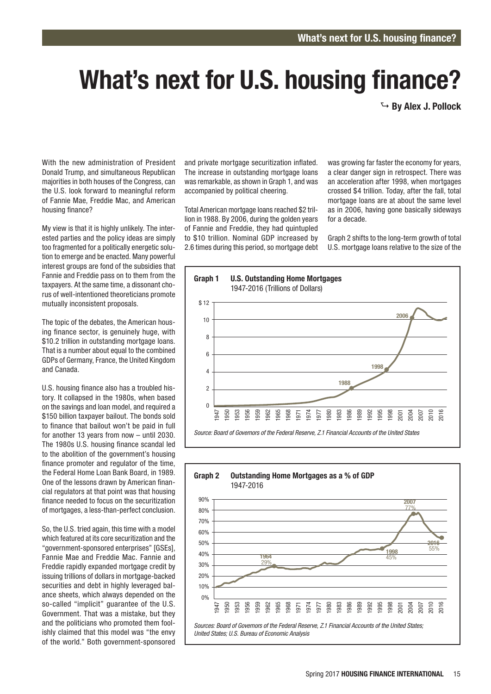## What's next for U.S. housing finance?

 $\rightarrow$  By Alex J. Pollock

With the new administration of President Donald Trump, and simultaneous Republican majorities in both houses of the Congress, can the U.S. look forward to meaningful reform of Fannie Mae, Freddie Mac, and American housing finance?

My view is that it is highly unlikely. The interested parties and the policy ideas are simply too fragmented for a politically energetic solution to emerge and be enacted. Many powerful interest groups are fond of the subsidies that Fannie and Freddie pass on to them from the taxpayers. At the same time, a dissonant chorus of well-intentioned theoreticians promote mutually inconsistent proposals.

The topic of the debates, the American housing finance sector, is genuinely huge, with \$10.2 trillion in outstanding mortgage loans. That is a number about equal to the combined GDPs of Germany, France, the United Kingdom and Canada.

U.S. housing finance also has a troubled history. It collapsed in the 1980s, when based on the savings and loan model, and required a \$150 billion taxpayer bailout. The bonds sold to finance that bailout won't be paid in full for another 13 years from now – until 2030. The 1980s U.S. housing finance scandal led to the abolition of the government's housing finance promoter and regulator of the time, the Federal Home Loan Bank Board, in 1989. One of the lessons drawn by American financial regulators at that point was that housing finance needed to focus on the securitization of mortgages, a less-than-perfect conclusion.

So, the U.S. tried again, this time with a model which featured at its core securitization and the "government-sponsored enterprises" [GSEs], Fannie Mae and Freddie Mac. Fannie and Freddie rapidly expanded mortgage credit by issuing trillions of dollars in mortgage-backed securities and debt in highly leveraged balance sheets, which always depended on the so-called "implicit" guarantee of the U.S. Government. That was a mistake, but they and the politicians who promoted them foolishly claimed that this model was "the envy of the world." Both government-sponsored and private mortgage securitization inflated. The increase in outstanding mortgage loans was remarkable, as shown in Graph 1, and was accompanied by political cheering.

Total American mortgage loans reached \$2 trillion in 1988. By 2006, during the golden years of Fannie and Freddie, they had quintupled to \$10 trillion. Nominal GDP increased by 2.6 times during this period, so mortgage debt was growing far faster the economy for years, a clear danger sign in retrospect. There was an acceleration after 1998, when mortgages crossed \$4 trillion. Today, after the fall, total mortgage loans are at about the same level as in 2006, having gone basically sideways for a decade.

Graph 2 shifts to the long-term growth of total U.S. mortgage loans relative to the size of the



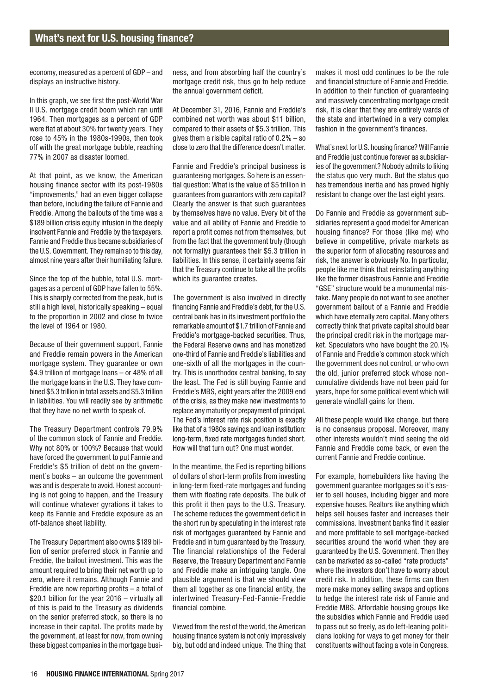economy, measured as a percent of GDP – and displays an instructive history.

In this graph, we see first the post-World War II U.S. mortgage credit boom which ran until 1964. Then mortgages as a percent of GDP were flat at about 30% for twenty years. They rose to 45% in the 1980s-1990s, then took off with the great mortgage bubble, reaching 77% in 2007 as disaster loomed.

At that point, as we know, the American housing finance sector with its post-1980s "improvements," had an even bigger collapse than before, including the failure of Fannie and Freddie. Among the bailouts of the time was a \$189 billion crisis equity infusion in the deeply insolvent Fannie and Freddie by the taxpayers. Fannie and Freddie thus became subsidiaries of the U.S. Government. They remain so to this day, almost nine years after their humiliating failure.

Since the top of the bubble, total U.S. mortgages as a percent of GDP have fallen to 55%. This is sharply corrected from the peak, but is still a high level, historically speaking – equal to the proportion in 2002 and close to twice the level of 1964 or 1980.

Because of their government support, Fannie and Freddie remain powers in the American mortgage system. They guarantee or own \$4.9 trillion of mortgage loans – or 48% of all the mortgage loans in the U.S. They have combined \$5.3 trillion in total assets and \$5.3 trillion in liabilities. You will readily see by arithmetic that they have no net worth to speak of.

The Treasury Department controls 79.9% of the common stock of Fannie and Freddie. Why not 80% or 100%? Because that would have forced the government to put Fannie and Freddie's \$5 trillion of debt on the government's books – an outcome the government was and is desperate to avoid. Honest accounting is not going to happen, and the Treasury will continue whatever gyrations it takes to keep its Fannie and Freddie exposure as an off-balance sheet liability.

The Treasury Department also owns \$189 billion of senior preferred stock in Fannie and Freddie, the bailout investment. This was the amount required to bring their net worth up to zero, where it remains. Although Fannie and Freddie are now reporting profits – a total of \$20.1 billion for the year 2016 – virtually all of this is paid to the Treasury as dividends on the senior preferred stock, so there is no increase in their capital. The profits made by the government, at least for now, from owning these biggest companies in the mortgage business, and from absorbing half the country's mortgage credit risk, thus go to help reduce the annual government deficit.

At December 31, 2016, Fannie and Freddie's combined net worth was about \$11 billion, compared to their assets of \$5.3 trillion. This gives them a risible capital ratio of 0.2% – so close to zero that the difference doesn't matter.

Fannie and Freddie's principal business is guaranteeing mortgages. So here is an essential question: What is the value of \$5 trillion in guarantees from guarantors with zero capital? Clearly the answer is that such guarantees by themselves have no value. Every bit of the value and all ability of Fannie and Freddie to report a profit comes not from themselves, but from the fact that the government truly (though not formally) guarantees their \$5.3 trillion in liabilities. In this sense, it certainly seems fair that the Treasury continue to take all the profits which its guarantee creates.

The government is also involved in directly financing Fannie and Freddie's debt, for the U.S. central bank has in its investment portfolio the remarkable amount of \$1.7 trillion of Fannie and Freddie's mortgage-backed securities. Thus, the Federal Reserve owns and has monetized one-third of Fannie and Freddie's liabilities and one-sixth of all the mortgages in the country. This is unorthodox central banking, to say the least. The Fed is still buying Fannie and Freddie's MBS, eight years after the 2009 end of the crisis, as they make new investments to replace any maturity or prepayment of principal. The Fed's interest rate risk position is exactly like that of a 1980s savings and loan institution: long-term, fixed rate mortgages funded short. How will that turn out? One must wonder.

In the meantime, the Fed is reporting billions of dollars of short-term profits from investing in long-term fixed-rate mortgages and funding them with floating rate deposits. The bulk of this profit it then pays to the U.S. Treasury. The scheme reduces the government deficit in the short run by speculating in the interest rate risk of mortgages guaranteed by Fannie and Freddie and in turn guaranteed by the Treasury. The financial relationships of the Federal Reserve, the Treasury Department and Fannie and Freddie make an intriguing tangle. One plausible argument is that we should view them all together as one financial entity, the intertwined Treasury-Fed-Fannie-Freddie financial combine.

Viewed from the rest of the world, the American housing finance system is not only impressively big, but odd and indeed unique. The thing that

makes it most odd continues to be the role and financial structure of Fannie and Freddie. In addition to their function of guaranteeing and massively concentrating mortgage credit risk, it is clear that they are entirely wards of the state and intertwined in a very complex fashion in the government's finances.

What's next for U.S. housing finance? Will Fannie and Freddie just continue forever as subsidiaries of the government? Nobody admits to liking the status quo very much. But the status quo has tremendous inertia and has proved highly resistant to change over the last eight years.

Do Fannie and Freddie as government subsidiaries represent a good model for American housing finance? For those (like me) who believe in competitive, private markets as the superior form of allocating resources and risk, the answer is obviously No. In particular, people like me think that reinstating anything like the former disastrous Fannie and Freddie "GSE" structure would be a monumental mistake. Many people do not want to see another government bailout of a Fannie and Freddie which have eternally zero capital. Many others correctly think that private capital should bear the principal credit risk in the mortgage market. Speculators who have bought the 20.1% of Fannie and Freddie's common stock which the government does not control, or who own the old, junior preferred stock whose noncumulative dividends have not been paid for years, hope for some political event which will generate windfall gains for them.

All these people would like change, but there is no consensus proposal. Moreover, many other interests wouldn't mind seeing the old Fannie and Freddie come back, or even the current Fannie and Freddie continue.

For example, homebuilders like having the government guarantee mortgages so it's easier to sell houses, including bigger and more expensive houses. Realtors like anything which helps sell houses faster and increases their commissions. Investment banks find it easier and more profitable to sell mortgage-backed securities around the world when they are guaranteed by the U.S. Government. Then they can be marketed as so-called "rate products" where the investors don't have to worry about credit risk. In addition, these firms can then more make money selling swaps and options to hedge the interest rate risk of Fannie and Freddie MBS. Affordable housing groups like the subsidies which Fannie and Freddie used to pass out so freely, as do left-leaning politicians looking for ways to get money for their constituents without facing a vote in Congress.